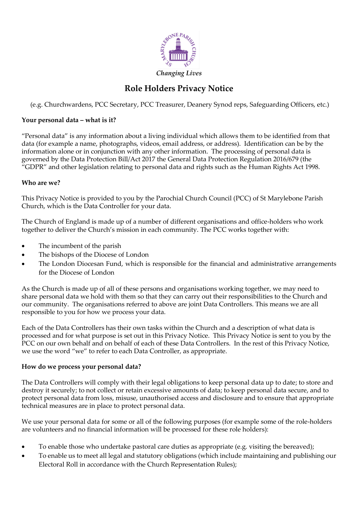

# **Role Holders Privacy Notice**

(e.g. Churchwardens, PCC Secretary, PCC Treasurer, Deanery Synod reps, Safeguarding Officers, etc.)

## **Your personal data – what is it?**

"Personal data" is any information about a living individual which allows them to be identified from that data (for example a name, photographs, videos, email address, or address). Identification can be by the information alone or in conjunction with any other information. The processing of personal data is governed by the Data Protection Bill/Act 2017 the General Data Protection Regulation 2016/679 (the "GDPR" and other legislation relating to personal data and rights such as the Human Rights Act 1998.

#### **Who are we?**

This Privacy Notice is provided to you by the Parochial Church Council (PCC) of St Marylebone Parish Church, which is the Data Controller for your data.

The Church of England is made up of a number of different organisations and office-holders who work together to deliver the Church's mission in each community. The PCC works together with:

- The incumbent of the parish
- The bishops of the Diocese of London
- The London Diocesan Fund, which is responsible for the financial and administrative arrangements for the Diocese of London

As the Church is made up of all of these persons and organisations working together, we may need to share personal data we hold with them so that they can carry out their responsibilities to the Church and our community. The organisations referred to above are joint Data Controllers. This means we are all responsible to you for how we process your data.

Each of the Data Controllers has their own tasks within the Church and a description of what data is processed and for what purpose is set out in this Privacy Notice. This Privacy Notice is sent to you by the PCC on our own behalf and on behalf of each of these Data Controllers. In the rest of this Privacy Notice, we use the word "we" to refer to each Data Controller, as appropriate.

#### **How do we process your personal data?**

The Data Controllers will comply with their legal obligations to keep personal data up to date; to store and destroy it securely; to not collect or retain excessive amounts of data; to keep personal data secure, and to protect personal data from loss, misuse, unauthorised access and disclosure and to ensure that appropriate technical measures are in place to protect personal data.

We use your personal data for some or all of the following purposes (for example some of the role-holders are volunteers and no financial information will be processed for these role holders):

- To enable those who undertake pastoral care duties as appropriate (e.g. visiting the bereaved);
- To enable us to meet all legal and statutory obligations (which include maintaining and publishing our Electoral Roll in accordance with the Church Representation Rules);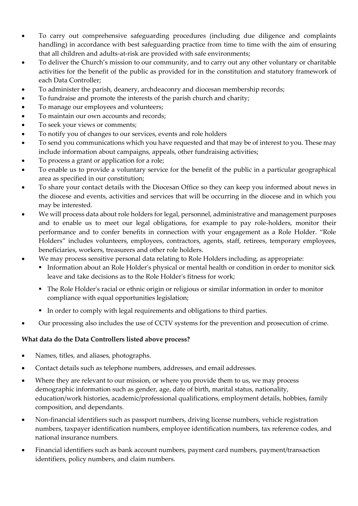- To carry out comprehensive safeguarding procedures (including due diligence and complaints handling) in accordance with best safeguarding practice from time to time with the aim of ensuring that all children and adults-at-risk are provided with safe environments;
- To deliver the Church's mission to our community, and to carry out any other voluntary or charitable activities for the benefit of the public as provided for in the constitution and statutory framework of each Data Controller;
- To administer the parish, deanery, archdeaconry and diocesan membership records;
- To fundraise and promote the interests of the parish church and charity;
- To manage our employees and volunteers;
- To maintain our own accounts and records;
- To seek your views or comments;
- To notify you of changes to our services, events and role holders
- To send you communications which you have requested and that may be of interest to you. These may include information about campaigns, appeals, other fundraising activities;
- To process a grant or application for a role;
- To enable us to provide a voluntary service for the benefit of the public in a particular geographical area as specified in our constitution;
- To share your contact details with the Diocesan Office so they can keep you informed about news in the diocese and events, activities and services that will be occurring in the diocese and in which you may be interested.
- We will process data about role holders for legal, personnel, administrative and management purposes and to enable us to meet our legal obligations, for example to pay role-holders, monitor their performance and to confer benefits in connection with your engagement as a Role Holder. "Role Holders" includes volunteers, employees, contractors, agents, staff, retirees, temporary employees, beneficiaries, workers, treasurers and other role holders.
- We may process sensitive personal data relating to Role Holders including, as appropriate:
	- Information about an Role Holder's physical or mental health or condition in order to monitor sick leave and take decisions as to the Role Holder's fitness for work;
	- The Role Holder's racial or ethnic origin or religious or similar information in order to monitor compliance with equal opportunities legislation;
	- In order to comply with legal requirements and obligations to third parties.
- Our processing also includes the use of CCTV systems for the prevention and prosecution of crime.

# **What data do the Data Controllers listed above process?**

- Names, titles, and aliases, photographs.
- Contact details such as telephone numbers, addresses, and email addresses.
- Where they are relevant to our mission, or where you provide them to us, we may process demographic information such as gender, age, date of birth, marital status, nationality, education/work histories, academic/professional qualifications, employment details, hobbies, family composition, and dependants.
- Non-financial identifiers such as passport numbers, driving license numbers, vehicle registration numbers, taxpayer identification numbers, employee identification numbers, tax reference codes, and national insurance numbers.
- Financial identifiers such as bank account numbers, payment card numbers, payment/transaction identifiers, policy numbers, and claim numbers.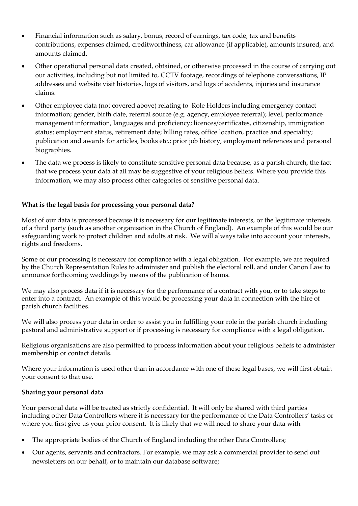- Financial information such as salary, bonus, record of earnings, tax code, tax and benefits contributions, expenses claimed, creditworthiness, car allowance (if applicable), amounts insured, and amounts claimed.
- Other operational personal data created, obtained, or otherwise processed in the course of carrying out our activities, including but not limited to, CCTV footage, recordings of telephone conversations, IP addresses and website visit histories, logs of visitors, and logs of accidents, injuries and insurance claims.
- Other employee data (not covered above) relating to Role Holders including emergency contact information; gender, birth date, referral source (e.g. agency, employee referral); level, performance management information, languages and proficiency; licences/certificates, citizenship, immigration status; employment status, retirement date; billing rates, office location, practice and speciality; publication and awards for articles, books etc.; prior job history, employment references and personal biographies.
- The data we process is likely to constitute sensitive personal data because, as a parish church, the fact that we process your data at all may be suggestive of your religious beliefs. Where you provide this information, we may also process other categories of sensitive personal data.

# **What is the legal basis for processing your personal data?**

Most of our data is processed because it is necessary for our legitimate interests, or the legitimate interests of a third party (such as another organisation in the Church of England). An example of this would be our safeguarding work to protect children and adults at risk. We will always take into account your interests, rights and freedoms.

Some of our processing is necessary for compliance with a legal obligation. For example, we are required by the Church Representation Rules to administer and publish the electoral roll, and under Canon Law to announce forthcoming weddings by means of the publication of banns.

We may also process data if it is necessary for the performance of a contract with you, or to take steps to enter into a contract. An example of this would be processing your data in connection with the hire of parish church facilities.

We will also process your data in order to assist you in fulfilling your role in the parish church including pastoral and administrative support or if processing is necessary for compliance with a legal obligation.

Religious organisations are also permitted to process information about your religious beliefs to administer membership or contact details.

Where your information is used other than in accordance with one of these legal bases, we will first obtain your consent to that use.

#### **Sharing your personal data**

Your personal data will be treated as strictly confidential. It will only be shared with third parties including other Data Controllers where it is necessary for the performance of the Data Controllers' tasks or where you first give us your prior consent. It is likely that we will need to share your data with

- The appropriate bodies of the Church of England including the other Data Controllers;
- Our agents, servants and contractors. For example, we may ask a commercial provider to send out newsletters on our behalf, or to maintain our database software;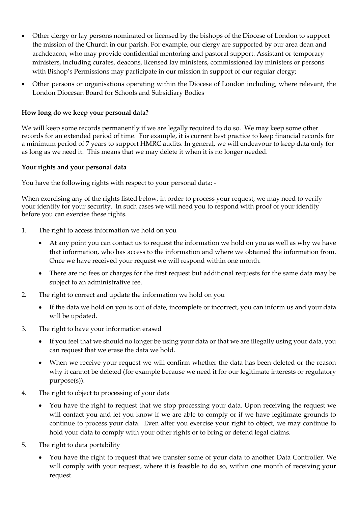- Other clergy or lay persons nominated or licensed by the bishops of the Diocese of London to support the mission of the Church in our parish. For example, our clergy are supported by our area dean and archdeacon, who may provide confidential mentoring and pastoral support. Assistant or temporary ministers, including curates, deacons, licensed lay ministers, commissioned lay ministers or persons with Bishop's Permissions may participate in our mission in support of our regular clergy;
- Other persons or organisations operating within the Diocese of London including, where relevant, the London Diocesan Board for Schools and Subsidiary Bodies

## **How long do we keep your personal data?**

We will keep some records permanently if we are legally required to do so. We may keep some other records for an extended period of time. For example, it is current best practice to keep financial records for a minimum period of 7 years to support HMRC audits. In general, we will endeavour to keep data only for as long as we need it. This means that we may delete it when it is no longer needed.

#### **Your rights and your personal data**

You have the following rights with respect to your personal data: -

When exercising any of the rights listed below, in order to process your request, we may need to verify your identity for your security. In such cases we will need you to respond with proof of your identity before you can exercise these rights.

- 1. The right to access information we hold on you
	- At any point you can contact us to request the information we hold on you as well as why we have that information, who has access to the information and where we obtained the information from. Once we have received your request we will respond within one month.
	- There are no fees or charges for the first request but additional requests for the same data may be subject to an administrative fee.
- 2. The right to correct and update the information we hold on you
	- If the data we hold on you is out of date, incomplete or incorrect, you can inform us and your data will be updated.
- 3. The right to have your information erased
	- If you feel that we should no longer be using your data or that we are illegally using your data, you can request that we erase the data we hold.
	- When we receive your request we will confirm whether the data has been deleted or the reason why it cannot be deleted (for example because we need it for our legitimate interests or regulatory purpose(s)).
- 4. The right to object to processing of your data
	- You have the right to request that we stop processing your data. Upon receiving the request we will contact you and let you know if we are able to comply or if we have legitimate grounds to continue to process your data. Even after you exercise your right to object, we may continue to hold your data to comply with your other rights or to bring or defend legal claims.
- 5. The right to data portability
	- You have the right to request that we transfer some of your data to another Data Controller. We will comply with your request, where it is feasible to do so, within one month of receiving your request.